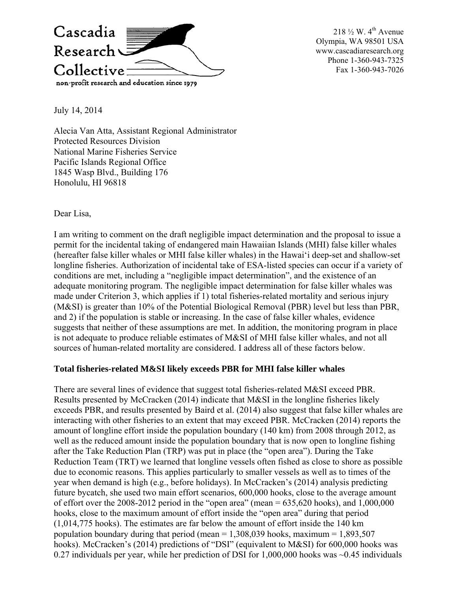

218  $\frac{1}{2}$  W. 4<sup>th</sup> Avenue Olympia, WA 98501 USA www.cascadiaresearch.org Phone 1-360-943-7325 Fax 1-360-943-7026

July 14, 2014

Alecia Van Atta, Assistant Regional Administrator Protected Resources Division National Marine Fisheries Service Pacific Islands Regional Office 1845 Wasp Blvd., Building 176 Honolulu, HI 96818

Dear Lisa,

I am writing to comment on the draft negligible impact determination and the proposal to issue a permit for the incidental taking of endangered main Hawaiian Islands (MHI) false killer whales (hereafter false killer whales or MHI false killer whales) in the Hawai'i deep-set and shallow-set longline fisheries. Authorization of incidental take of ESA-listed species can occur if a variety of conditions are met, including a "negligible impact determination", and the existence of an adequate monitoring program. The negligible impact determination for false killer whales was made under Criterion 3, which applies if 1) total fisheries-related mortality and serious injury (M&SI) is greater than 10% of the Potential Biological Removal (PBR) level but less than PBR, and 2) if the population is stable or increasing. In the case of false killer whales, evidence suggests that neither of these assumptions are met. In addition, the monitoring program in place is not adequate to produce reliable estimates of M&SI of MHI false killer whales, and not all sources of human-related mortality are considered. I address all of these factors below.

## **Total fisheries-related M&SI likely exceeds PBR for MHI false killer whales**

There are several lines of evidence that suggest total fisheries-related M&SI exceed PBR. Results presented by McCracken (2014) indicate that M&SI in the longline fisheries likely exceeds PBR, and results presented by Baird et al. (2014) also suggest that false killer whales are interacting with other fisheries to an extent that may exceed PBR. McCracken (2014) reports the amount of longline effort inside the population boundary (140 km) from 2008 through 2012, as well as the reduced amount inside the population boundary that is now open to longline fishing after the Take Reduction Plan (TRP) was put in place (the "open area"). During the Take Reduction Team (TRT) we learned that longline vessels often fished as close to shore as possible due to economic reasons. This applies particularly to smaller vessels as well as to times of the year when demand is high (e.g., before holidays). In McCracken's (2014) analysis predicting future bycatch, she used two main effort scenarios, 600,000 hooks, close to the average amount of effort over the 2008-2012 period in the "open area" (mean  $= 635,620$  hooks), and  $1,000,000$ hooks, close to the maximum amount of effort inside the "open area" during that period (1,014,775 hooks). The estimates are far below the amount of effort inside the 140 km population boundary during that period (mean  $= 1,308,039$  hooks, maximum  $= 1,893,507$ hooks). McCracken's (2014) predictions of "DSI" (equivalent to M&SI) for 600,000 hooks was 0.27 individuals per year, while her prediction of DSI for 1,000,000 hooks was ~0.45 individuals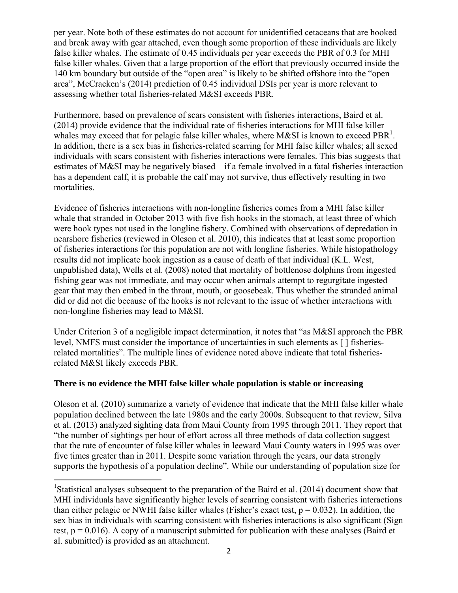per year. Note both of these estimates do not account for unidentified cetaceans that are hooked and break away with gear attached, even though some proportion of these individuals are likely false killer whales. The estimate of 0.45 individuals per year exceeds the PBR of 0.3 for MHI false killer whales. Given that a large proportion of the effort that previously occurred inside the 140 km boundary but outside of the "open area" is likely to be shifted offshore into the "open area", McCracken's (2014) prediction of 0.45 individual DSIs per year is more relevant to assessing whether total fisheries-related M&SI exceeds PBR.

Furthermore, based on prevalence of scars consistent with fisheries interactions, Baird et al. (2014) provide evidence that the individual rate of fisheries interactions for MHI false killer whales may exceed that for pelagic false killer whales, where M&SI is known to exceed  $PBR<sup>1</sup>$ . In addition, there is a sex bias in fisheries-related scarring for MHI false killer whales; all sexed individuals with scars consistent with fisheries interactions were females. This bias suggests that estimates of M&SI may be negatively biased – if a female involved in a fatal fisheries interaction has a dependent calf, it is probable the calf may not survive, thus effectively resulting in two mortalities.

Evidence of fisheries interactions with non-longline fisheries comes from a MHI false killer whale that stranded in October 2013 with five fish hooks in the stomach, at least three of which were hook types not used in the longline fishery. Combined with observations of depredation in nearshore fisheries (reviewed in Oleson et al. 2010), this indicates that at least some proportion of fisheries interactions for this population are not with longline fisheries. While histopathology results did not implicate hook ingestion as a cause of death of that individual (K.L. West, unpublished data), Wells et al. (2008) noted that mortality of bottlenose dolphins from ingested fishing gear was not immediate, and may occur when animals attempt to regurgitate ingested gear that may then embed in the throat, mouth, or goosebeak. Thus whether the stranded animal did or did not die because of the hooks is not relevant to the issue of whether interactions with non-longline fisheries may lead to M&SI.

Under Criterion 3 of a negligible impact determination, it notes that "as M&SI approach the PBR level, NMFS must consider the importance of uncertainties in such elements as [ ] fisheriesrelated mortalities". The multiple lines of evidence noted above indicate that total fisheriesrelated M&SI likely exceeds PBR.

## **There is no evidence the MHI false killer whale population is stable or increasing**

Oleson et al. (2010) summarize a variety of evidence that indicate that the MHI false killer whale population declined between the late 1980s and the early 2000s. Subsequent to that review, Silva et al. (2013) analyzed sighting data from Maui County from 1995 through 2011. They report that "the number of sightings per hour of effort across all three methods of data collection suggest that the rate of encounter of false killer whales in leeward Maui County waters in 1995 was over five times greater than in 2011. Despite some variation through the years, our data strongly supports the hypothesis of a population decline". While our understanding of population size for

<sup>&</sup>lt;sup>1</sup>Statistical analyses subsequent to the preparation of the Baird et al. (2014) document show that MHI individuals have significantly higher levels of scarring consistent with fisheries interactions than either pelagic or NWHI false killer whales (Fisher's exact test,  $p = 0.032$ ). In addition, the sex bias in individuals with scarring consistent with fisheries interactions is also significant (Sign test,  $p = 0.016$ ). A copy of a manuscript submitted for publication with these analyses (Baird et al. submitted) is provided as an attachment.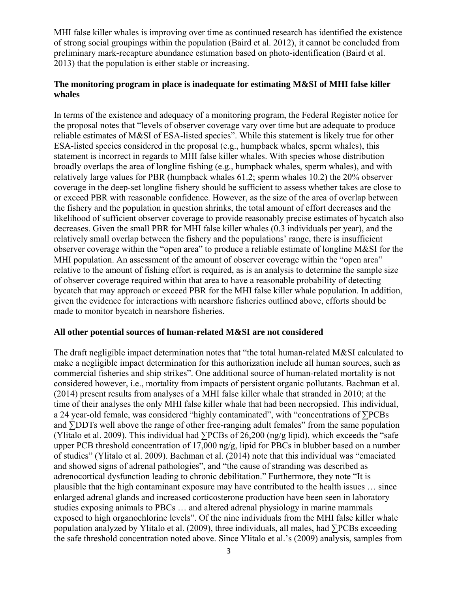MHI false killer whales is improving over time as continued research has identified the existence of strong social groupings within the population (Baird et al. 2012), it cannot be concluded from preliminary mark-recapture abundance estimation based on photo-identification (Baird et al. 2013) that the population is either stable or increasing.

## **The monitoring program in place is inadequate for estimating M&SI of MHI false killer whales**

In terms of the existence and adequacy of a monitoring program, the Federal Register notice for the proposal notes that "levels of observer coverage vary over time but are adequate to produce reliable estimates of M&SI of ESA-listed species". While this statement is likely true for other ESA-listed species considered in the proposal (e.g., humpback whales, sperm whales), this statement is incorrect in regards to MHI false killer whales. With species whose distribution broadly overlaps the area of longline fishing (e.g., humpback whales, sperm whales), and with relatively large values for PBR (humpback whales 61.2; sperm whales 10.2) the 20% observer coverage in the deep-set longline fishery should be sufficient to assess whether takes are close to or exceed PBR with reasonable confidence. However, as the size of the area of overlap between the fishery and the population in question shrinks, the total amount of effort decreases and the likelihood of sufficient observer coverage to provide reasonably precise estimates of bycatch also decreases. Given the small PBR for MHI false killer whales (0.3 individuals per year), and the relatively small overlap between the fishery and the populations' range, there is insufficient observer coverage within the "open area" to produce a reliable estimate of longline M&SI for the MHI population. An assessment of the amount of observer coverage within the "open area" relative to the amount of fishing effort is required, as is an analysis to determine the sample size of observer coverage required within that area to have a reasonable probability of detecting bycatch that may approach or exceed PBR for the MHI false killer whale population. In addition, given the evidence for interactions with nearshore fisheries outlined above, efforts should be made to monitor bycatch in nearshore fisheries.

## **All other potential sources of human-related M&SI are not considered**

The draft negligible impact determination notes that "the total human-related M&SI calculated to make a negligible impact determination for this authorization include all human sources, such as commercial fisheries and ship strikes". One additional source of human-related mortality is not considered however, i.e., mortality from impacts of persistent organic pollutants. Bachman et al. (2014) present results from analyses of a MHI false killer whale that stranded in 2010; at the time of their analyses the only MHI false killer whale that had been necropsied. This individual, a 24 year-old female, was considered "highly contaminated", with "concentrations of ∑PCBs and ∑DDTs well above the range of other free-ranging adult females" from the same population (Ylitalo et al. 2009). This individual had  $\Sigma$ PCBs of 26,200 (ng/g lipid), which exceeds the "safe" upper PCB threshold concentration of 17,000 ng/g, lipid for PBCs in blubber based on a number of studies" (Ylitalo et al. 2009). Bachman et al. (2014) note that this individual was "emaciated and showed signs of adrenal pathologies", and "the cause of stranding was described as adrenocortical dysfunction leading to chronic debilitation." Furthermore, they note "It is plausible that the high contaminant exposure may have contributed to the health issues … since enlarged adrenal glands and increased corticosterone production have been seen in laboratory studies exposing animals to PBCs … and altered adrenal physiology in marine mammals exposed to high organochlorine levels". Of the nine individuals from the MHI false killer whale population analyzed by Ylitalo et al. (2009), three individuals, all males, had ∑PCBs exceeding the safe threshold concentration noted above. Since Ylitalo et al.'s (2009) analysis, samples from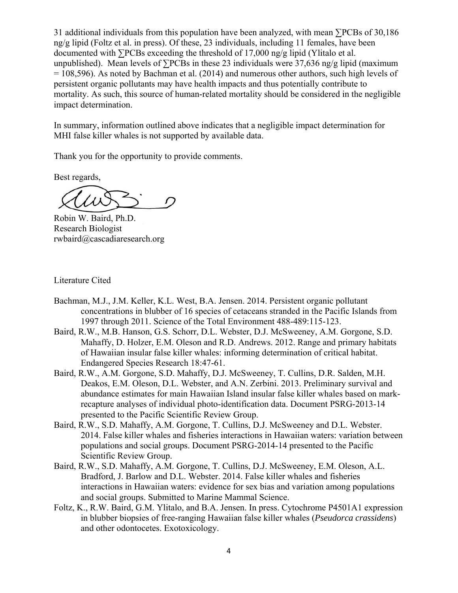31 additional individuals from this population have been analyzed, with mean ∑PCBs of 30,186 ng/g lipid (Foltz et al. in press). Of these, 23 individuals, including 11 females, have been documented with ∑PCBs exceeding the threshold of 17,000 ng/g lipid (Ylitalo et al. unpublished). Mean levels of ∑PCBs in these 23 individuals were 37,636 ng/g lipid (maximum = 108,596). As noted by Bachman et al. (2014) and numerous other authors, such high levels of persistent organic pollutants may have health impacts and thus potentially contribute to mortality. As such, this source of human-related mortality should be considered in the negligible impact determination.

In summary, information outlined above indicates that a negligible impact determination for MHI false killer whales is not supported by available data.

Thank you for the opportunity to provide comments.

Best regards,

Robin W. Baird, Ph.D. Research Biologist rwbaird@cascadiaresearch.org

Literature Cited

- Bachman, M.J., J.M. Keller, K.L. West, B.A. Jensen. 2014. Persistent organic pollutant concentrations in blubber of 16 species of cetaceans stranded in the Pacific Islands from 1997 through 2011. Science of the Total Environment 488-489:115-123.
- Baird, R.W., M.B. Hanson, G.S. Schorr, D.L. Webster, D.J. McSweeney, A.M. Gorgone, S.D. Mahaffy, D. Holzer, E.M. Oleson and R.D. Andrews. 2012. Range and primary habitats of Hawaiian insular false killer whales: informing determination of critical habitat. Endangered Species Research 18:47-61.
- Baird, R.W., A.M. Gorgone, S.D. Mahaffy, D.J. McSweeney, T. Cullins, D.R. Salden, M.H. Deakos, E.M. Oleson, D.L. Webster, and A.N. Zerbini. 2013. Preliminary survival and abundance estimates for main Hawaiian Island insular false killer whales based on markrecapture analyses of individual photo-identification data. Document PSRG-2013-14 presented to the Pacific Scientific Review Group.
- Baird, R.W., S.D. Mahaffy, A.M. Gorgone, T. Cullins, D.J. McSweeney and D.L. Webster. 2014. False killer whales and fisheries interactions in Hawaiian waters: variation between populations and social groups. Document PSRG-2014-14 presented to the Pacific Scientific Review Group.
- Baird, R.W., S.D. Mahaffy, A.M. Gorgone, T. Cullins, D.J. McSweeney, E.M. Oleson, A.L. Bradford, J. Barlow and D.L. Webster. 2014. False killer whales and fisheries interactions in Hawaiian waters: evidence for sex bias and variation among populations and social groups. Submitted to Marine Mammal Science.
- Foltz, K., R.W. Baird, G.M. Ylitalo, and B.A. Jensen. In press. Cytochrome P4501A1 expression in blubber biopsies of free-ranging Hawaiian false killer whales (*Pseudorca crassidens*) and other odontocetes. Exotoxicology.